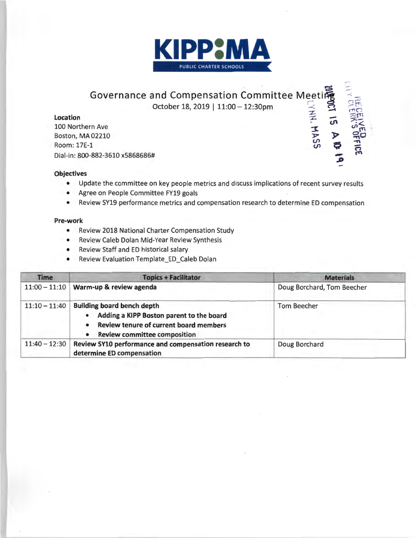

# ~ Governance and Compensation Committee Meeti庵 October 18, 2019 | 11:00 - 12:30pm

## **Location**

100 Northern Ave Boston, MA 02210 Room: 17E-1 Dial-in: 800-882-3610 x5868686#

### **Objectives**

• Update the committee on key people metrics and discuss implications of recent survey results

-*.S>* 

- Agree on People Committee FY19 goals
- Review SY19 performance metrics and compensation research to determine ED compensation

#### **Pre-work**

- Review 2018 National Charter Compensation Study
- Review Caleb Dolan Mid-Year Review Synthesis
- Review Staff and ED historical salary
- Review Evaluation Template\_ED\_Caleb Dolan

| <b>Time</b>     | <b>Topics + Facilitator</b>                                                                                                                                                                           | <b>Materials</b>           |
|-----------------|-------------------------------------------------------------------------------------------------------------------------------------------------------------------------------------------------------|----------------------------|
| $11:00 - 11:10$ | Warm-up & review agenda                                                                                                                                                                               | Doug Borchard, Tom Beecher |
| $11:10 - 11:40$ | <b>Building board bench depth</b><br>Adding a KIPP Boston parent to the board<br>$\bullet$<br>Review tenure of current board members<br>$\bullet$<br><b>Review committee composition</b><br>$\bullet$ | Tom Beecher                |
| $11:40 - 12:30$ | Review SY10 performance and compensation research to<br>determine ED compensation                                                                                                                     | Doug Borchard              |